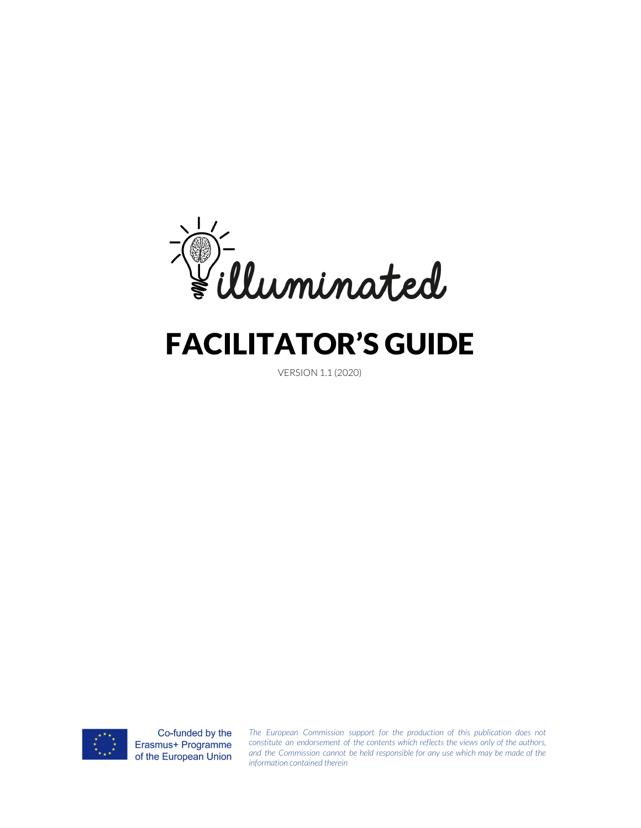

# FACILITATOR'S GUIDE

VERSION 1.1 (2020)



Co-funded by the Erasmus+ Programme of the European Union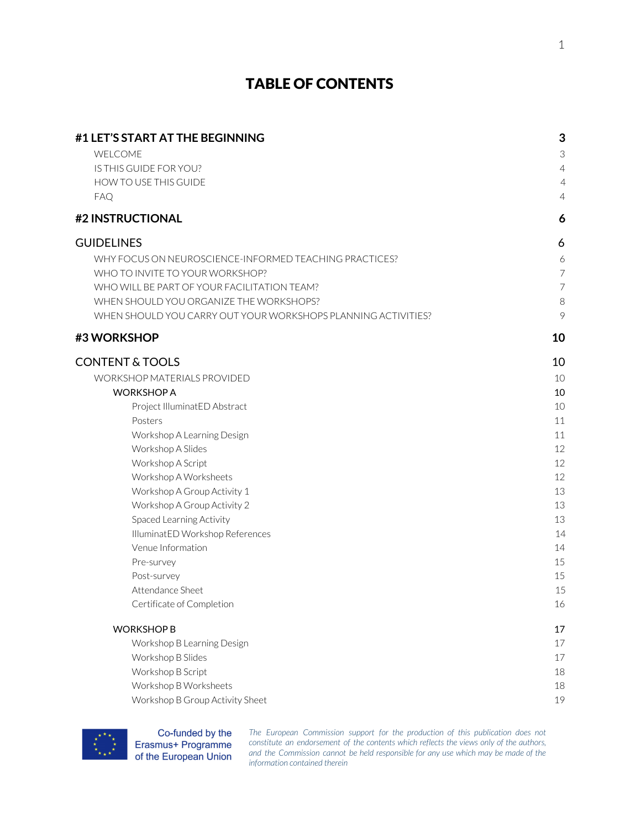# TABLE OF CONTENTS

| #1 LET'S START AT THE BEGINNING                               | 3              |
|---------------------------------------------------------------|----------------|
| WELCOME                                                       | 3              |
| IS THIS GUIDE FOR YOU?                                        | $\overline{4}$ |
| HOW TO USE THIS GUIDE                                         | $\overline{4}$ |
| FAQ                                                           | $\overline{4}$ |
| #2 INSTRUCTIONAL                                              | 6              |
| <b>GUIDELINES</b>                                             | 6              |
| WHY FOCUS ON NEUROSCIENCE-INFORMED TEACHING PRACTICES?        | 6              |
| WHO TO INVITE TO YOUR WORKSHOP?                               | 7              |
| WHO WILL BE PART OF YOUR FACILITATION TEAM?                   | $\overline{7}$ |
| WHEN SHOULD YOU ORGANIZE THE WORKSHOPS?                       | $\,8\,$        |
| WHEN SHOULD YOU CARRY OUT YOUR WORKSHOPS PLANNING ACTIVITIES? | 9              |
| #3 WORKSHOP                                                   | 10             |
| <b>CONTENT &amp; TOOLS</b>                                    | 10             |
| WORKSHOP MATERIALS PROVIDED                                   | 10             |
| <b>WORKSHOP A</b>                                             | 10             |
| Project IlluminatED Abstract                                  | 10             |
| Posters                                                       | 11             |
| Workshop A Learning Design                                    | 11             |
| Workshop A Slides                                             | 12             |
| Workshop A Script                                             | 12             |
| Workshop A Worksheets                                         | 12             |
| Workshop A Group Activity 1                                   | 13             |
| Workshop A Group Activity 2                                   | 13             |
| Spaced Learning Activity                                      | 13             |
| IlluminatED Workshop References                               | 14             |
| Venue Information                                             | 14             |
| Pre-survey                                                    | 15             |
| Post-survey                                                   | 15             |
| Attendance Sheet                                              | 15             |
| Certificate of Completion                                     | 16             |
| <b>WORKSHOP B</b>                                             | 17             |
| Workshop B Learning Design                                    | 17             |
| Workshop B Slides                                             | 17             |
| Workshop B Script                                             | 18             |
| Workshop B Worksheets                                         | $18\,$         |
| Workshop B Group Activity Sheet                               | 19             |



Co-funded by the<br>Erasmus+ Programme<br>of the European Union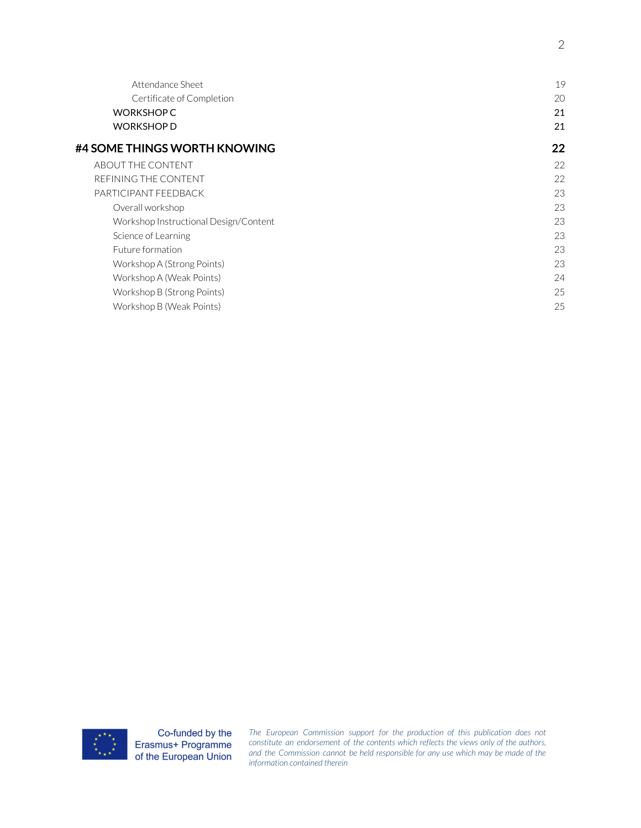| Attendance Sheet                      | 19 |
|---------------------------------------|----|
| Certificate of Completion             | 20 |
| <b>WORKSHOP C</b>                     | 21 |
| <b>WORKSHOP D</b>                     | 21 |
| #4 SOME THINGS WORTH KNOWING          | 22 |
| ABOUT THE CONTENT                     | 22 |
| REFINING THE CONTENT                  | 22 |
| PARTICIPANT FEEDBACK                  | 23 |
| Overall workshop                      | 23 |
| Workshop Instructional Design/Content | 23 |
| Science of Learning                   | 23 |
| Future formation                      | 23 |
| Workshop A (Strong Points)            | 23 |
| Workshop A (Weak Points)              | 24 |
| Workshop B (Strong Points)            | 25 |
| Workshop B (Weak Points)              | 25 |

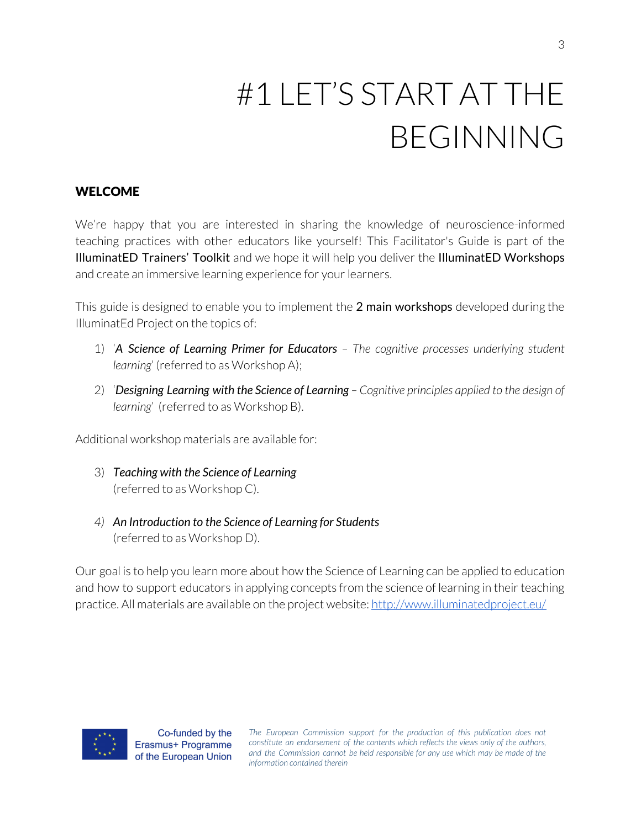# #1 LET'S START AT THE BEGINNING

## <span id="page-3-1"></span><span id="page-3-0"></span>WELCOME

We're happy that you are interested in sharing the knowledge of neuroscience-informed teaching practices with other educators like yourself! This Facilitator's Guide is part of the IlluminatED Trainers' Toolkit and we hope it will help you deliver the IlluminatED Workshops and create an immersive learning experience for your learners.

This guide is designed to enable you to implement the 2 main workshops developed during the IlluminatEd Project on the topics of:

- 1) '*A Science of Learning Primer for Educators – The cognitive processes underlying student learning*' (referred to as Workshop A);
- 2) '*Designing Learning with the Science of Learning – Cognitive principles applied to the design of learning*' (referred to as Workshop B).

Additional workshop materials are available for:

- 3) *Teaching with the Science of Learning* (referred to as Workshop C).
- *4) An Introduction to the Science of Learning for Students* (referred to as Workshop D).

Our goal is to help you learn more about how the Science of Learning can be applied to education and how to support educators in applying concepts from the science of learning in their teaching practice. All materials are available on the project website: <http://www.illuminatedproject.eu/>



Co-funded by the Erasmus+ Programme of the European Union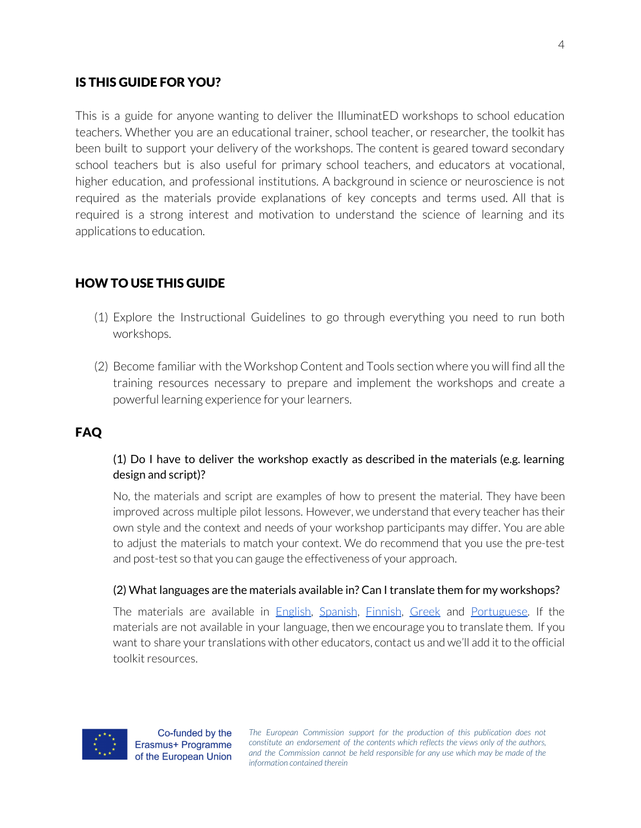## <span id="page-4-0"></span>IS THIS GUIDE FOR YOU?

This is a guide for anyone wanting to deliver the IlluminatED workshops to school education teachers. Whether you are an educational trainer, school teacher, or researcher, the toolkit has been built to support your delivery of the workshops. The content is geared toward secondary school teachers but is also useful for primary school teachers, and educators at vocational, higher education, and professional institutions. A background in science or neuroscience is not required as the materials provide explanations of key concepts and terms used. All that is required is a strong interest and motivation to understand the science of learning and its applications to education.

## <span id="page-4-1"></span>HOW TO USE THIS GUIDE

- (1) Explore the Instructional Guidelines to go through everything you need to run both workshops.
- (2) Become familiar with the Workshop Content and Tools section where you will find all the training resources necessary to prepare and implement the workshops and create a powerful learning experience for your learners.

# <span id="page-4-2"></span>FAQ

## (1) Do I have to deliver the workshop exactly as described in the materials (e.g. learning design and script)?

No, the materials and script are examples of how to present the material. They have been improved across multiple pilot lessons. However, we understand that every teacher has their own style and the context and needs of your workshop participants may differ. You are able to adjust the materials to match your context. We do recommend that you use the pre-test and post-test so that you can gauge the effectiveness of your approach.

## (2) What languages are the materials available in? Can I translate them for my workshops?

The materials are available in [English](https://docs.google.com/document/d/1JFTDJsfkJV_c1fiTfURJWZbg372PSXlrcNxsGTe5nRc/edit), [Spanish](https://docs.google.com/document/d/1MG5cDr-Ti2j0olnM7YcwvKv1rhho5qjrY9in5KxxAko/edit), [Finnish](https://docs.google.com/document/d/1_Tz1hrjJ_bg6Px9vRacy-5pSzF6JwKwNz1FwRe-JXgs/edit), [Greek](https://docs.google.com/document/d/1F1WJdacQxqnbDF4h7llmirGiPptMGIRbSPt9Y55BgQ4/edit) and [Portuguese](https://docs.google.com/document/d/1Ub8ScCFh2YImFMuqhcLjYYvmi37nuz8-qNfsK6GGJR8/edit). If the materials are not available in your language, then we encourage you to translate them. If you want to share your translations with other educators, contact us and we'll add it to the official toolkit resources.

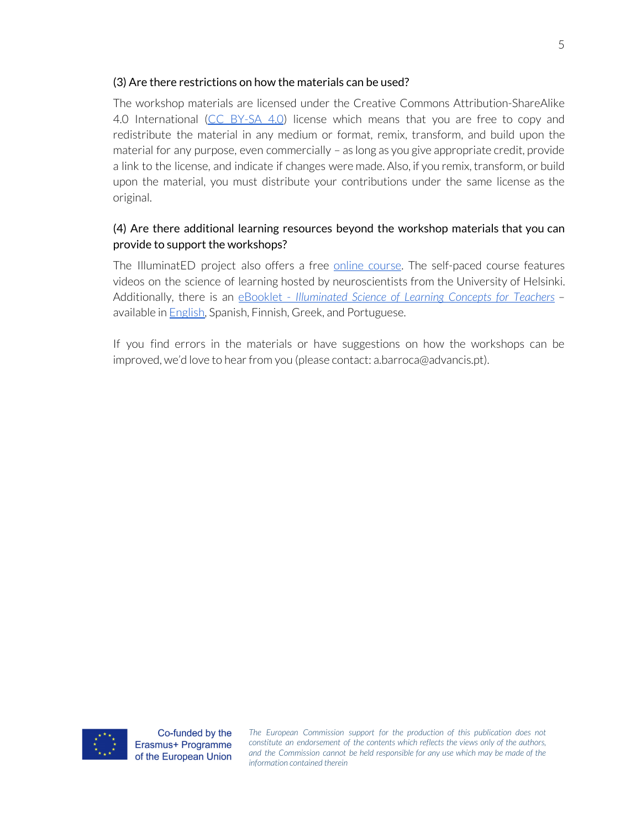#### (3) Are there restrictions on how the materials can be used?

The workshop materials are licensed under the Creative Commons Attribution-ShareAlike 4.0 International (CC [BY-SA](https://creativecommons.org/licenses/by-sa/4.0/?ref=chooser-v1) 4.0) license which means that you are free to copy and redistribute the material in any medium or format, remix, transform, and build upon the material for any purpose, even commercially – as long as you give appropriate credit, provide a link to the license, and indicate if changes were made. Also, if you remix, transform, or build upon the material, you must distribute your contributions under the same license as the original.

## (4) Are there additional learning resources beyond the workshop materials that you can provide to support the workshops?

The IlluminatED project also offers a free online [course](https://tidex.upf.edu/courses/course-v1:Illuminated+IL101+2020/about). The self-paced course features videos on the science of learning hosted by neuroscientists from the University of Helsinki. Additionally, there is an [eBooklet](https://illuminated.pressbooks.com/) - *[Illuminated](https://illuminated.pressbooks.com/) Science of Learning Concepts for Teachers* – available in **English**, Spanish, Finnish, Greek, and Portuguese.

If you find errors in the materials or have suggestions on how the workshops can be improved, we'd love to hear from you (please contact: a.barroca@advancis.pt).

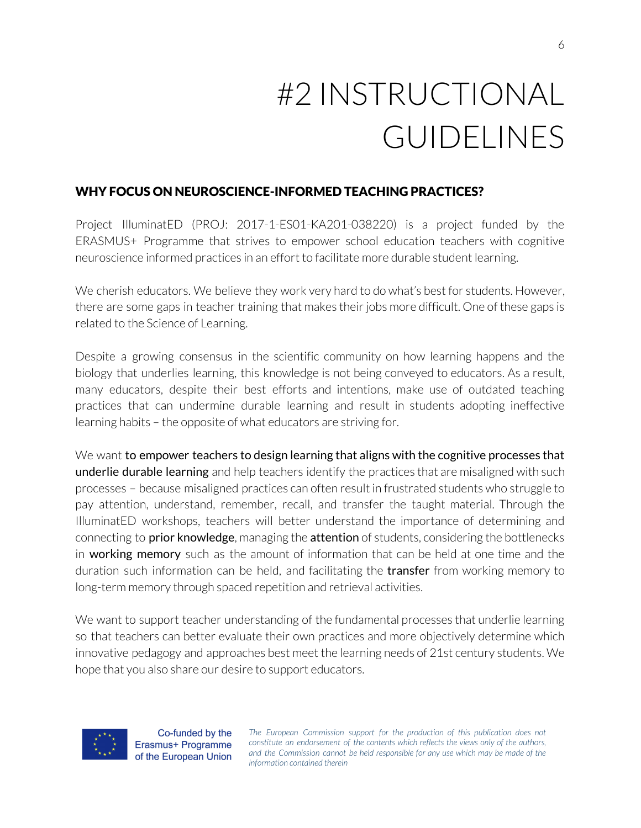# #2 INSTRUCTIONAL GUIDELINES

## <span id="page-6-1"></span><span id="page-6-0"></span>WHY FOCUS ON NEUROSCIENCE-INFORMED TEACHING PRACTICES?

Project IlluminatED (PROJ: 2017-1-ES01-KA201-038220) is a project funded by the ERASMUS+ Programme that strives to empower school education teachers with cognitive neuroscience informed practices in an effort to facilitate more durable student learning.

We cherish educators. We believe they work very hard to do what's best for students. However, there are some gaps in teacher training that makes their jobs more difficult. One of these gaps is related to the Science of Learning.

Despite a growing consensus in the scientific community on how learning happens and the biology that underlies learning, this knowledge is not being conveyed to educators. As a result, many educators, despite their best efforts and intentions, make use of outdated teaching practices that can undermine durable learning and result in students adopting ineffective learning habits – the opposite of what educators are striving for.

We want to empower teachers to design learning that aligns with the cognitive processes that underlie durable learning and help teachers identify the practices that are misaligned with such processes – because misaligned practices can often result in frustrated students who struggle to pay attention, understand, remember, recall, and transfer the taught material. Through the IlluminatED workshops, teachers will better understand the importance of determining and connecting to **prior knowledge**, managing the **attention** of students, considering the bottlenecks in working memory such as the amount of information that can be held at one time and the duration such information can be held, and facilitating the **transfer** from working memory to long-term memory through spaced repetition and retrieval activities.

We want to support teacher understanding of the fundamental processes that underlie learning so that teachers can better evaluate their own practices and more objectively determine which innovative pedagogy and approaches best meet the learning needs of 21st century students. We hope that you also share our desire to support educators.



Co-funded by the Erasmus+ Programme of the European Union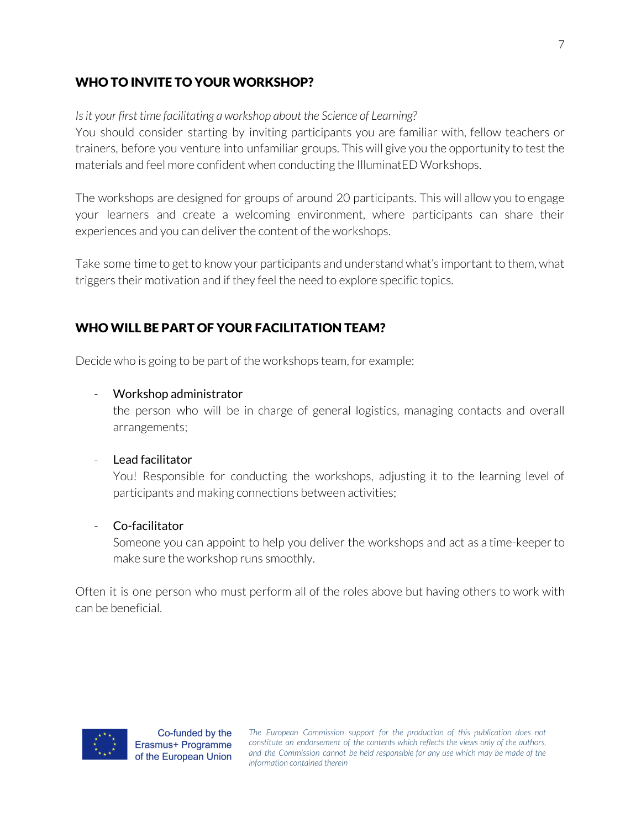# <span id="page-7-0"></span>WHO TO INVITE TO YOUR WORKSHOP?

## *Isit your first time facilitating a workshop about the Science of Learning?*

You should consider starting by inviting participants you are familiar with, fellow teachers or trainers, before you venture into unfamiliar groups. This will give you the opportunity to test the materials and feel more confident when conducting the IlluminatED Workshops.

The workshops are designed for groups of around 20 participants. This will allow you to engage your learners and create a welcoming environment, where participants can share their experiences and you can deliver the content of the workshops.

Take some time to get to know your participants and understand what's important to them, what triggers their motivation and if they feel the need to explore specific topics.

# <span id="page-7-1"></span>WHO WILL BE PART OF YOUR FACILITATION TEAM?

Decide who is going to be part of the workshops team, for example:

## - Workshop administrator

the person who will be in charge of general logistics, managing contacts and overall arrangements;

## Lead facilitator

You! Responsible for conducting the workshops, adjusting it to the learning level of participants and making connections between activities;

## Co-facilitator

Someone you can appoint to help you deliver the workshops and act as a time-keeperto make sure the workshop runs smoothly.

Often it is one person who must perform all of the roles above but having others to work with can be beneficial.

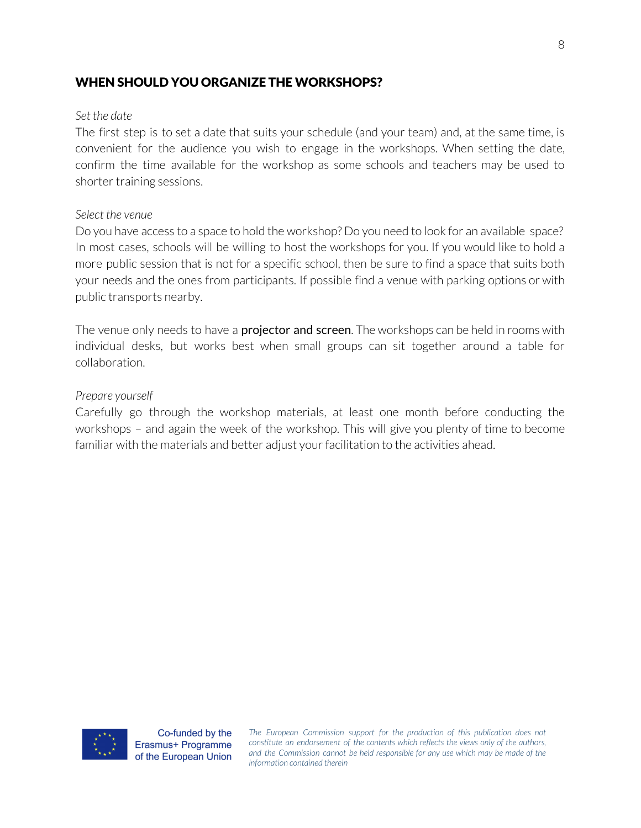## <span id="page-8-0"></span>WHEN SHOULD YOU ORGANIZE THE WORKSHOPS?

## *Set the date*

The first step is to set a date that suits your schedule (and your team) and, at the same time, is convenient for the audience you wish to engage in the workshops. When setting the date, confirm the time available for the workshop as some schools and teachers may be used to shorter training sessions.

## *Select the venue*

Do you have access to a space to hold the workshop? Do you need to look for an available space? In most cases, schools will be willing to host the workshops for you. If you would like to hold a more public session that is not for a specific school, then be sure to find a space that suits both your needs and the ones from participants. If possible find a venue with parking options or with public transports nearby.

The venue only needs to have a **projector and screen**. The workshops can be held in rooms with individual desks, but works best when small groups can sit together around a table for collaboration.

## *Prepare yourself*

Carefully go through the workshop materials, at least one month before conducting the workshops – and again the week of the workshop. This will give you plenty of time to become familiar with the materials and better adjust your facilitation to the activities ahead.

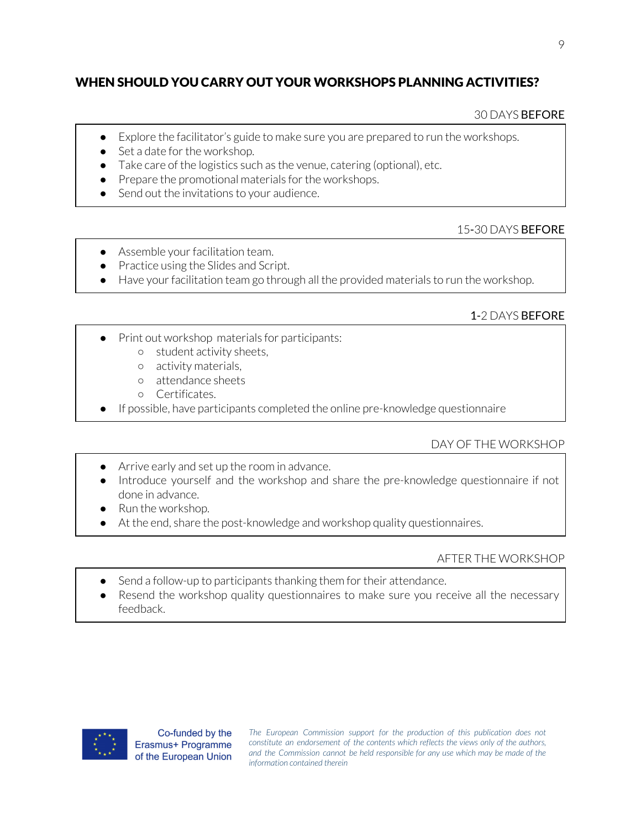## <span id="page-9-0"></span>WHEN SHOULD YOU CARRY OUT YOUR WORKSHOPS PLANNING ACTIVITIES?

#### 30 DAYS BEFORE

- Explore the facilitator's guide to make sure you are prepared to run the workshops.
- Set a date for the workshop.
- $\bullet$  Take care of the logistics such as the venue, catering (optional), etc.
- Prepare the promotional materials for the workshops.
- Send out the invitations to your audience.

## 15-30 DAYS BEFORE

- Assemble your facilitation team.
- Practice using the Slides and Script.
- Have your facilitation team go through all the provided materials to run the workshop.

## 1-2 DAYS BEFORE

- Print out workshop materials for participants:
	- student activity sheets,
	- activity materials,
	- attendance sheets
	- Certificates.
- If possible, have participants completed the online pre-knowledge questionnaire

## DAY OF THE WORKSHOP

- Arrive early and set up the room in advance.
- Introduce yourself and the workshop and share the pre-knowledge questionnaire if not done in advance.
- Run the workshop.
- At the end, share the post-knowledge and workshop quality questionnaires.

#### AFTER THE WORKSHOP

- Send a follow-up to participants thanking them for their attendance.
- Resend the workshop quality questionnaires to make sure you receive all the necessary feedback.



Co-funded by the Erasmus+ Programme of the European Union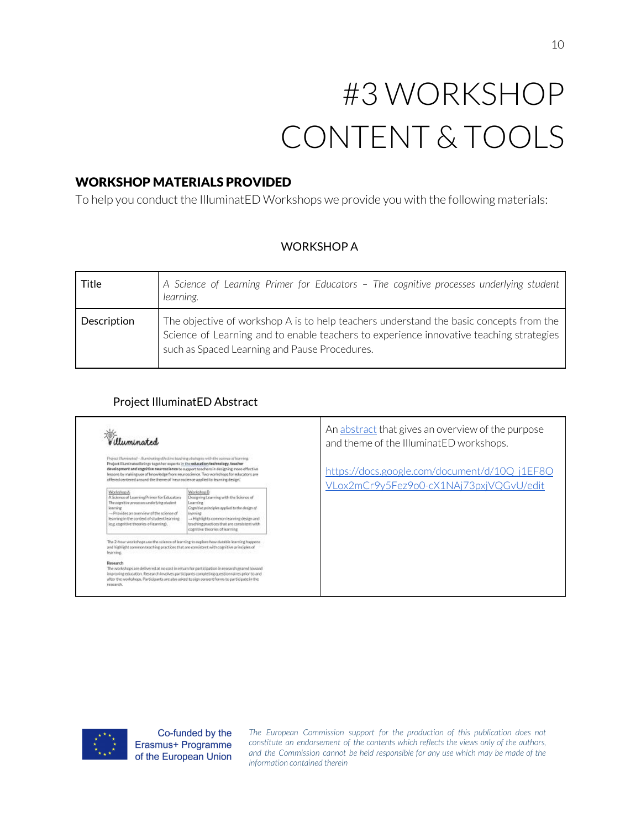# #3 WORKSHOP CONTENT & TOOLS

## <span id="page-10-1"></span><span id="page-10-0"></span>WORKSHOP MATERIALS PROVIDED

To help you conduct the IlluminatED Workshops we provide you with the following materials:

## WORKSHOP A

<span id="page-10-2"></span>

| Title       | A Science of Learning Primer for Educators - The cognitive processes underlying student<br>learning.                                                                                                                               |
|-------------|------------------------------------------------------------------------------------------------------------------------------------------------------------------------------------------------------------------------------------|
| Description | The objective of workshop A is to help teachers understand the basic concepts from the<br>Science of Learning and to enable teachers to experience innovative teaching strategies<br>such as Spaced Learning and Pause Procedures. |

## Project IlluminatED Abstract

<span id="page-10-3"></span>

|                                                                                                                                                                                                                                                                                                                                                                                                                                                                                                                                                                                                                                                                                                                                                                                                                                                                                                                                                      |                                                                                                                                                                                                                                                                                                                                                                                                                                                                                                                                                                | An abstract that gives an overview of the purpose<br>and theme of the IlluminatED workshops. |
|------------------------------------------------------------------------------------------------------------------------------------------------------------------------------------------------------------------------------------------------------------------------------------------------------------------------------------------------------------------------------------------------------------------------------------------------------------------------------------------------------------------------------------------------------------------------------------------------------------------------------------------------------------------------------------------------------------------------------------------------------------------------------------------------------------------------------------------------------------------------------------------------------------------------------------------------------|----------------------------------------------------------------------------------------------------------------------------------------------------------------------------------------------------------------------------------------------------------------------------------------------------------------------------------------------------------------------------------------------------------------------------------------------------------------------------------------------------------------------------------------------------------------|----------------------------------------------------------------------------------------------|
| Project (Ruminated - . Ruminating effective Insching strategies with the science of learning.<br>Project Huminated brings together experts in the education technology, beacher<br>development and cognitive neuroscience to support teachers in designing more effective.<br>lessons by making use of knowledge from neuroscience. Two workshops for educators are<br>offered centered around the theme of 'neuroscience agailed to learning design.'<br>Workshop &<br>A Science of Learning Primer for Educators<br>The cognitive processes underlying student<br>learning<br>-- Provides an overview of the science of<br>learning in the context of student learning<br>le.g. cognitive theories of learning).<br>and highlight common teaching practices that are consistent with cognitive principles of<br>learning.<br>Research<br>after the workshops. Participants are also asked to sign consent forms to participate in the<br>research. | Warkshee B<br>Designing Learning with the Science of<br>Learning<br>Cognitive principles applied to the design of<br><b>Enemário</b><br>- Highlights connexn learning design and<br>braching practices that are consistent with<br>cognitive theories of learning<br>The 2-hour workshops use the science of learning to explore how durable learning happens.<br>The workshops are delivered at no cost in return for participation in research geared toward<br>inspressing education. Research involves participants completing questionnaires prior to and | https://docs.google.com/document/d/10Q<br>i1EF8O<br>VLox2mCr9y5Fez9o0-cX1NAj73pxjVQGvU/edit  |



Co-funded by the Erasmus+ Programme of the European Union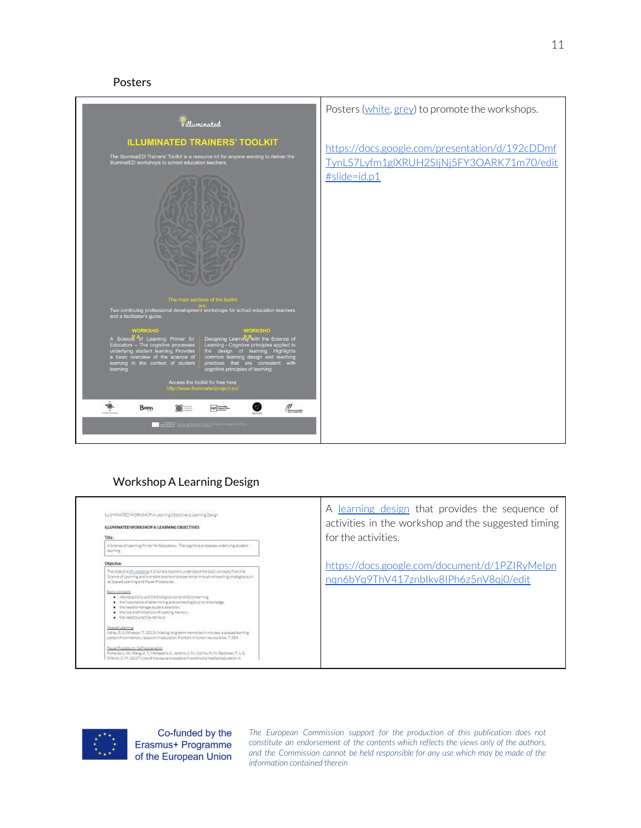#### Posters

<span id="page-11-0"></span>

## Workshop A Learning Design

<span id="page-11-1"></span>

| ILLUMINATED WORKSHOP A Learning Objectives & Learning Design<br>ILLUMINATED WORKSHOP A: LEARNING OBJECTIVES.<br>Title:<br>A Science of Learning Primer for Educations - The cognitive processes underlying student<br>learning?                                                                | A learning design that provides the sequence of<br>activities in the workshop and the suggested timing<br>for the activities. |
|------------------------------------------------------------------------------------------------------------------------------------------------------------------------------------------------------------------------------------------------------------------------------------------------|-------------------------------------------------------------------------------------------------------------------------------|
| Objective:                                                                                                                                                                                                                                                                                     | https://docs.google.com/document/d/1PZIRyMeIpn                                                                                |
| The objective of workshop A is to help teachers understand the basic concepts from the<br>Science of Learning and to enable teachers to experience innovative teaching strategies such<br>as Spaced Learning and Pause Propertures.                                                            | ngn6bYg9ThV417znblkv8lPh6z5nV8qj0/edit                                                                                        |
| <b>Basic concents</b><br>. Heuroplasticity and the biological constraints to learning.<br>. the importance of determining and connecting to prior knowledge,<br>. the need to manage student attention.<br>. the role and limitations of vioricing memory,<br>. The heed to practice retrieval |                                                                                                                               |
| Spaced Learning<br>Kelley, R, & Whatson, T. (2012). Making long-term memories in minutes: a spaced learning<br>pattern from memory research in education. RootSerple Austrationary policings, 7, 589.                                                                                          |                                                                                                                               |
| Pause Procedure / Self-explanation<br>Richards, L.W. Wang, A. T. Mahapatha, S. Jenkins, S. M. Collins, N. M. Beckman, T. J. S.<br>Wheth, C. M. (2017). Use of the pause propedure in particular medical education: A                                                                           |                                                                                                                               |



Co-funded by the Erasmus+ Programme of the European Union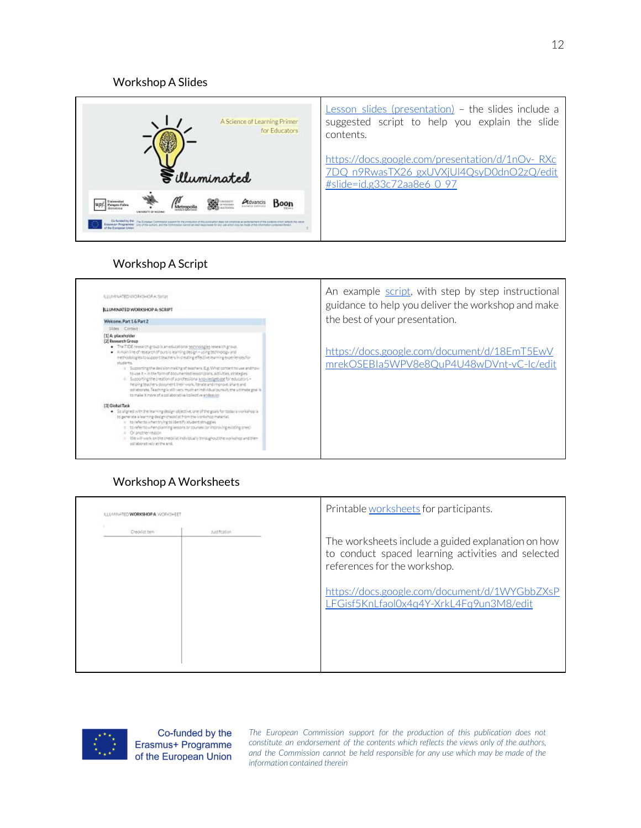#### Workshop A Slides

<span id="page-12-0"></span>

## Workshop A Script

<span id="page-12-1"></span>

| ILLUM/NATED WORKSHOP A: Sprigt                                                                                                                                                                                                                                                                                                                                                                                                                                                                                                                                                                                                                                                                                                                                              | An example script, with step by step instructional<br>guidance to help you deliver the workshop and make |
|-----------------------------------------------------------------------------------------------------------------------------------------------------------------------------------------------------------------------------------------------------------------------------------------------------------------------------------------------------------------------------------------------------------------------------------------------------------------------------------------------------------------------------------------------------------------------------------------------------------------------------------------------------------------------------------------------------------------------------------------------------------------------------|----------------------------------------------------------------------------------------------------------|
| LLUMINATED WORKSHOP A: SCRIPT                                                                                                                                                                                                                                                                                                                                                                                                                                                                                                                                                                                                                                                                                                                                               |                                                                                                          |
| Welcome, Part 1 & Part 2                                                                                                                                                                                                                                                                                                                                                                                                                                                                                                                                                                                                                                                                                                                                                    | the best of your presentation.                                                                           |
| Slides Context                                                                                                                                                                                                                                                                                                                                                                                                                                                                                                                                                                                                                                                                                                                                                              |                                                                                                          |
| [1] A: placeholder<br>[2] Research Group<br>. The TIDE research group is an educational technologies research group.<br>. A nightine of research of ours is learning design - using technologicand<br>methodologies to support teachers in creating effective learning experiences for<br>students.<br>o Supporting the decision making of teachers. E.g. What content to use and how<br>to use it - in the form of documented lesson plans, activities, strategies.<br>= Supporting the creation of a professional impuledgebase for educators -<br>helping teachers document their work. Renate and improve, share and<br>collaborate. Teaching is still very much an individual pursuit, the ultimate goal is<br>to make it more of a pollaborative/collective endeavor. | https://docs.google.com/document/d/18EmT5EwV<br>mrekOSEBIa5WPV8e8QuP4U48wDVnt-vC-Ic/edit                 |
| [3] Global Task<br>. So aligned with the learning design objective, one of the goals for today's workshop is                                                                                                                                                                                                                                                                                                                                                                                                                                                                                                                                                                                                                                                                |                                                                                                          |
| to generate a learning design checklist from the workshop material.<br>to refer to when trying to identify student struggles.<br>to refer to when planning lessons or courses (or intoroving existing ones)<br>Or another reason<br>We will work on the checklist individually throughout the workshop and then<br>pollaboratively at the and.                                                                                                                                                                                                                                                                                                                                                                                                                              |                                                                                                          |

## Workshop A Worksheets

<span id="page-12-2"></span>

| WITED WIDRICS-IDP A WOR |                      | Printable worksheets for participants.                                                                                                                                                                                               |
|-------------------------|----------------------|--------------------------------------------------------------------------------------------------------------------------------------------------------------------------------------------------------------------------------------|
| heddistribes            | <b>Justification</b> | The worksheets include a guided explanation on how<br>to conduct spaced learning activities and selected<br>references for the workshop.<br>https://docs.google.com/document/d/1WYGbbZXsP<br>LFGisf5KnLfaol0x4q4Y-XrkL4Fq9un3M8/edit |
|                         |                      |                                                                                                                                                                                                                                      |



Co-funded by the Erasmus+ Programme of the European Union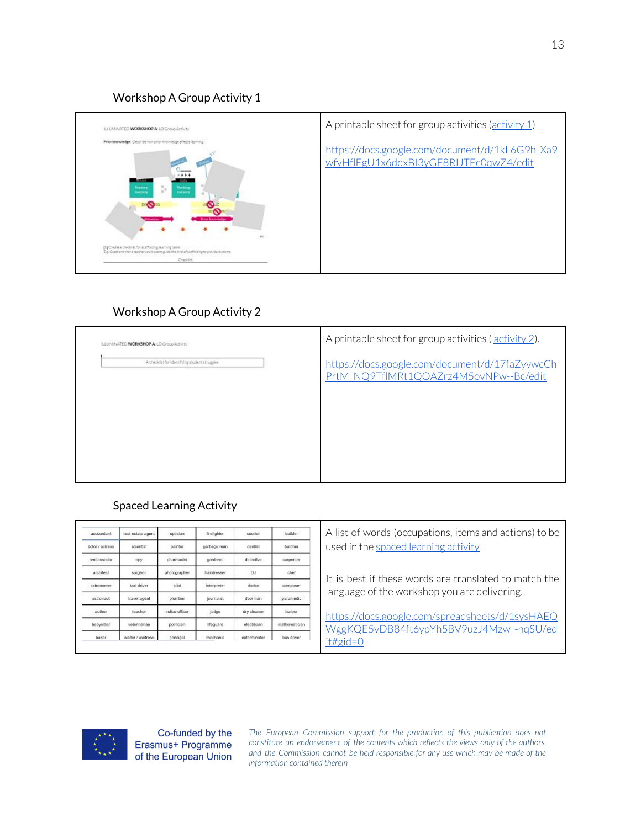#### Workshop A Group Activity 1

<span id="page-13-0"></span>

## Workshop A Group Activity 2

<span id="page-13-1"></span>

## Spaced Learning Activity

<span id="page-13-2"></span>

| accountant      | real estate agent | optician       | firefighter     | courier      | builder       | A list of words (occupations, items and actions) to be |
|-----------------|-------------------|----------------|-----------------|--------------|---------------|--------------------------------------------------------|
| actor / actress | scientist         | painter        | garbage man     | dentist      | butcher       | used in the spaced learning activity                   |
| ambassador      | spy               | pharmacist     | gardener        | detective    | carpenter     |                                                        |
| architect       | surgeon           | photographer   | hairdresser     | DJ.          | chef          | It is best if these words are translated to match the  |
| astronomer      | taxi driver       | pilot          | interpreter     | doctor       | composer      | language of the workshop you are delivering.           |
| astronaut       | travel agent      | plumber        | journalist      | doorman      | paramedic     |                                                        |
| author          | teacher           | police officer | judge           | dry cleaner  | barber        | https://docs.google.com/spreadsheets/d/1sysHAEQ        |
| babysitter      | veterinarian      | politician     | <b>Ifequard</b> | electrician  | mathematician | WggKQE5vDB84ft6ypYh5BV9uzJ4Mzw -nqSU/ed                |
| baker           | waiter / waitress | principal      | mechanic        | exterminator | bus driver    | it#gid=0                                               |



Co-funded by the Erasmus+ Programme of the European Union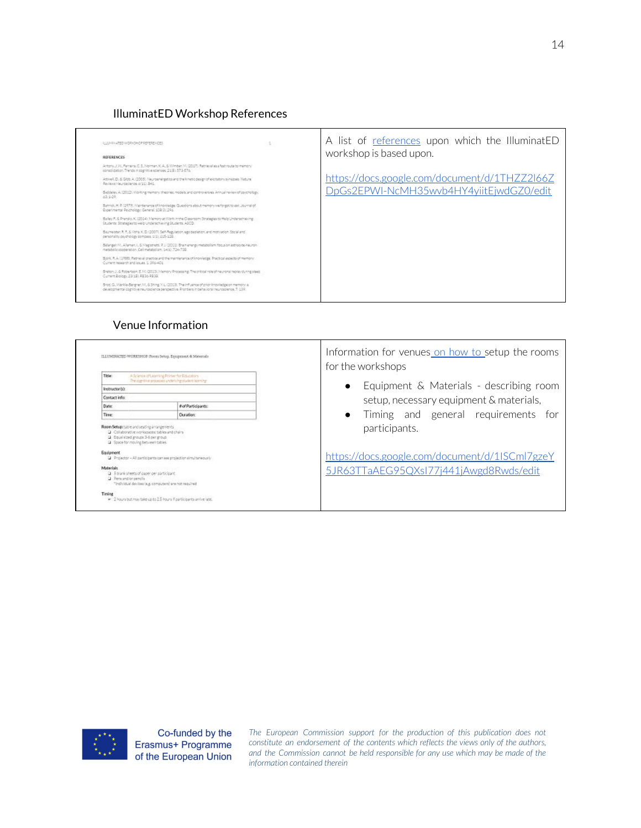#### IlluminatED Workshop References

<span id="page-14-0"></span>

| ELEMENTED WORKSHOP REFERENCES                                                                                                                                                                       | A list of references upon which the IlluminatED<br>workshop is based upon. |
|-----------------------------------------------------------------------------------------------------------------------------------------------------------------------------------------------------|----------------------------------------------------------------------------|
| <b>REFERENCES</b>                                                                                                                                                                                   |                                                                            |
| Writeria, J.W.; Parinaina, C. S.; Norman, K. A., S. Wimbar, M. (2017). Ratnieval at altest route to mamon<br>consolidation. Transla in cognitive spiences, 21(\$1,573.67).                          |                                                                            |
| Attwell, D. & Glob. A. (2005). Neuroenerget its and the kinetic design of excitatory synapses. Neture<br>Sauleva Neurosciente, 4031), SA1                                                           | https://docs.google.com/document/d/1THZZ2I66Z                              |
| Baddeley, A. (2012). Working memory: theories, models, and controllers in. Annual review of psychology,<br>62.1-29.                                                                                 | DpGs2EPWI-NcMH35wvb4HY4yiitEjwdGZ0/edit                                    |
| Bannok, H. R. (1979). Maintenance of knowledge. Questions about memory we forgot to ask, Journal of<br>Superimental Psychology: General, 109/31/296.                                                |                                                                            |
| Belley, P. & Prancisc, K. (2014). Memory at Work in the Classroom: Boybaples to Help Underschiefring:<br>Students: Strategies to well Underschlesing Students, ASCD.                                |                                                                            |
| Baumeisten R. P., & Voha, K. D. (2007). Seit-Regulation, epoideplation, and motivation. Social and.<br>personality psychology compass, SCO, 115-129.                                                |                                                                            |
| Bälanger: M., Allaman, L. & Magistrats, P. J. (2001). Brain energy metabolism: focus on astrocyte meuron<br>metabolic copperation. Cell metabolism. 1402. 724-738.                                  |                                                                            |
| Block, R. A. (1988). Retrieval practice and the meintenance of knowledge. Practical aspects of memory:<br>Current research and issues, 5, 396-403.                                                  |                                                                            |
| Sheton, J. & Robertson, S. M. (2013). Memory Propersing: The critical role of neuronal replay dyring sleep<br>Current Bloibey, 23(18), RS36-RS39.                                                   |                                                                            |
| Brott G. Warkle-Bergner, M. & String, Y. L. (2003). The influence of prior knowledge on memory: a<br>developmental cognitive neuroscience perspective. Promises in behavioral neuroscience, 7, 239. |                                                                            |

## Venue Information

<span id="page-14-1"></span>

| ILLUMINATED WORKSHOP: Room Setup, Equipment & Meterials<br>A Science of Lasming Printer for Educators<br>Tide:<br>The combine processes underlying student learning                    |                                                                      | Information for venues on how to setup the rooms<br>for the workshops |  |  |  |
|----------------------------------------------------------------------------------------------------------------------------------------------------------------------------------------|----------------------------------------------------------------------|-----------------------------------------------------------------------|--|--|--|
| Instructor(s):                                                                                                                                                                         |                                                                      | Equipment & Materials - describing room                               |  |  |  |
| Contact info:                                                                                                                                                                          |                                                                      | setup, necessary equipment & materials,                               |  |  |  |
| Date:<br># of Participants:                                                                                                                                                            |                                                                      |                                                                       |  |  |  |
| Time:                                                                                                                                                                                  | Duration:                                                            | Timing and general requirements for                                   |  |  |  |
| Room Setup: table and seating arrangements<br>D. Collaborative workspaces: tables and chairs.<br>2 Equal sized groups 3-6 per group<br>La Space for moving between tables<br>Equipment |                                                                      | participants.                                                         |  |  |  |
|                                                                                                                                                                                        | [2] Projector - All participants can see projection simultaneously   | https://docs.google.com/document/d/1ISCmI7gzeY                        |  |  |  |
| Materials<br>La 5 blank sheets of paper per participant.<br>Q Pero and/or percits<br>"Individual devices (e.g. computers) are not required                                             |                                                                      | 5JR63TTaAEG95QXsI77j441jAwgd8Rwds/edit                                |  |  |  |
| Timing                                                                                                                                                                                 | > 2 hours but maintaire up to 2.5 hours if participants arrive late. |                                                                       |  |  |  |



Co-funded by the Erasmus+ Programme of the European Union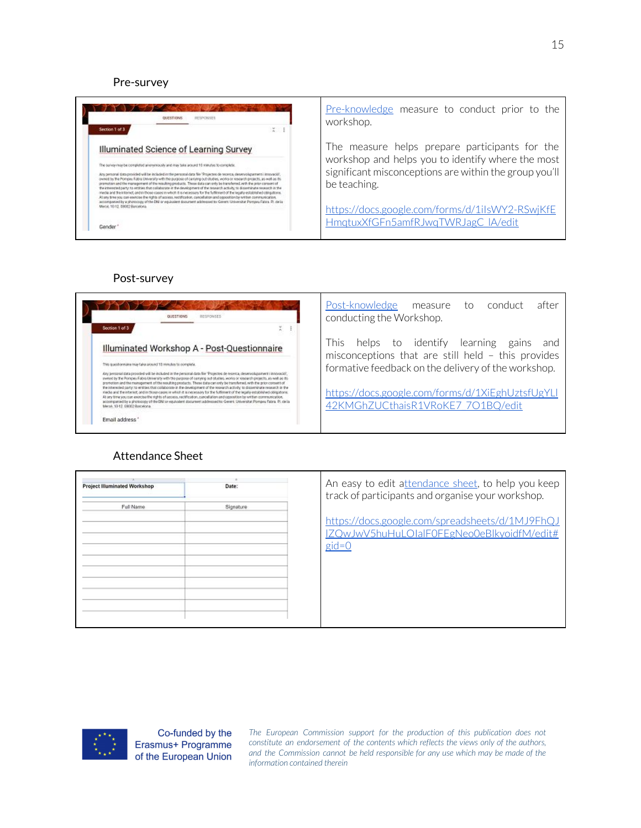#### Pre-survey

<span id="page-15-0"></span>

#### Post-survey

<span id="page-15-1"></span>

| RESPONSES<br>QUESTIONS<br>Section 1 of 3                                                                                                                                                                                                                                                                                                                                                                                                                                                                                                                                                                                                                                                                                                                                                                                                                                                                                                                                                                                                                                   | Post-knowledge<br>after<br>conduct<br>measure<br>to<br>conducting the Workshop.                                                                                                                                                                       |
|----------------------------------------------------------------------------------------------------------------------------------------------------------------------------------------------------------------------------------------------------------------------------------------------------------------------------------------------------------------------------------------------------------------------------------------------------------------------------------------------------------------------------------------------------------------------------------------------------------------------------------------------------------------------------------------------------------------------------------------------------------------------------------------------------------------------------------------------------------------------------------------------------------------------------------------------------------------------------------------------------------------------------------------------------------------------------|-------------------------------------------------------------------------------------------------------------------------------------------------------------------------------------------------------------------------------------------------------|
| Illuminated Workshop A - Post-Questionnaire<br>This questionnaire may falux around 10 minutes to complete.<br>Any personal data provided will be included in the personal data file "Projectes de teoreca, desenvolupament i innovació",<br>avered by the Pompeu Fabra University with the parpose of camming out objeties, works or research projects, as well as les<br>promotion and the management of the resulting products. These data can only be transferred, with the prior consent of<br>the interested party; to entities that collaborate in the development of the seasonth activity; to dispensivate research in the<br>media and the internet, and in those cases in which it is necessary for the futhment of the legally established obligations.<br>At any time you can exercise the rights of access, rectification, carcellation and opposition by written communication.<br>accompanied by a photocopy of the DNI or equivalent pocurrent addressed to: Gerent Universitat Pompes Fabra. Pi. de la<br>Mercé, 10-12, GROD2 Rascelona.<br>Email address | This helps to identify<br>learning gains<br>and<br>misconceptions that are still held - this provides<br>formative feedback on the delivery of the workshop.<br>https://docs.google.com/forms/d/1XiEghUztsfUgYLI<br>42KMGhZUCthaisR1VRoKE7 7O1BQ/edit |

#### Attendance Sheet

<span id="page-15-2"></span>

| <b>Project Illuminated Workshop</b> | Date:     | An easy to edit attendance sheet, to help you keep<br>track of participants and organise your workshop.         |
|-------------------------------------|-----------|-----------------------------------------------------------------------------------------------------------------|
| Full Name                           | Signature | https://docs.google.com/spreadsheets/d/1MJ9FhQJ<br>IZQwJwV5huHuLOIalF0FEgNeo0eBlkyoidfM/edit#<br>$\text{gid}=0$ |
|                                     |           |                                                                                                                 |



Co-funded by the Erasmus+ Programme of the European Union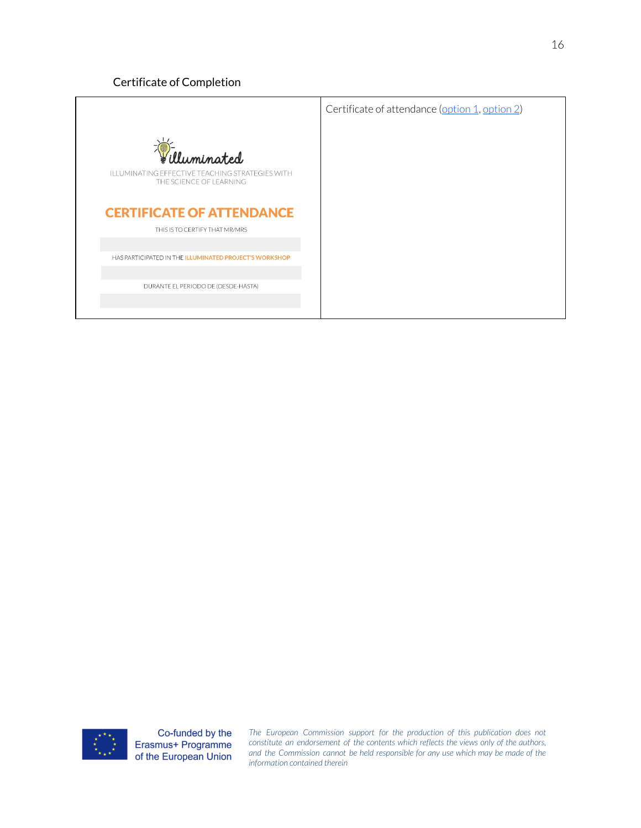Certificate of Completion

<span id="page-16-0"></span>



Co-funded by the Erasmus+ Programme of the European Union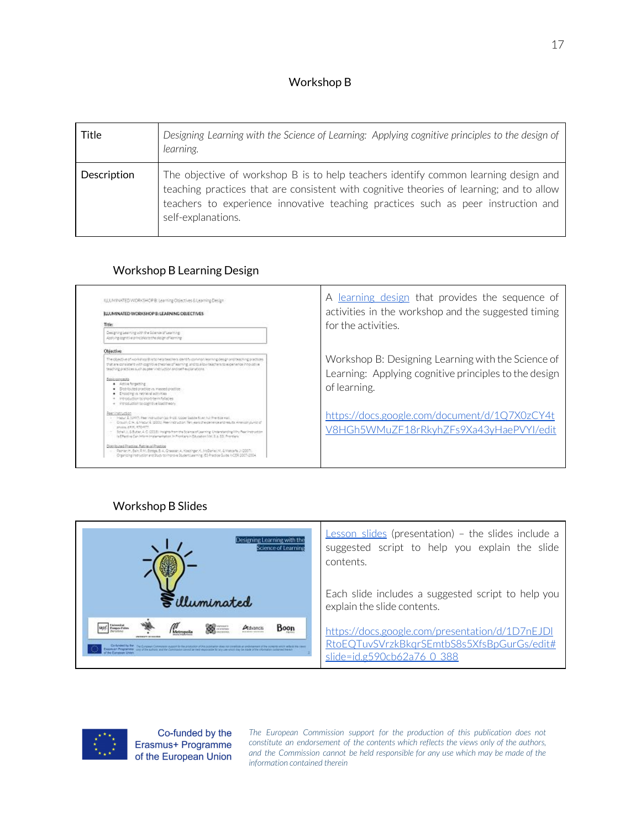#### Workshop B

<span id="page-17-0"></span>

| Title       | Designing Learning with the Science of Learning: Applying cognitive principles to the design of<br>learning.                                                                                                                                                                               |
|-------------|--------------------------------------------------------------------------------------------------------------------------------------------------------------------------------------------------------------------------------------------------------------------------------------------|
| Description | The objective of workshop B is to help teachers identify common learning design and<br>teaching practices that are consistent with cognitive theories of learning; and to allow<br>teachers to experience innovative teaching practices such as peer instruction and<br>self-explanations. |

## Workshop B Learning Design

<span id="page-17-1"></span>

| ILLUMINATED WORKSHOP B: Learning Otáectives & Learning Design<br>ILLUMINATED WORKSHOP B: LEARNING OBJECTIVES<br>Title:<br>Designing Learning with the Science of Learning<br>Applying capitble principles to the plasjer of learning                                                                                                                                                                                                                                                                                                                                                                                                                                                                       | A learning design that provides the sequence of<br>activities in the workshop and the suggested timing<br>for the activities. |
|------------------------------------------------------------------------------------------------------------------------------------------------------------------------------------------------------------------------------------------------------------------------------------------------------------------------------------------------------------------------------------------------------------------------------------------------------------------------------------------------------------------------------------------------------------------------------------------------------------------------------------------------------------------------------------------------------------|-------------------------------------------------------------------------------------------------------------------------------|
| Objective:<br>The objective at workshop B is to nela teachers loentify common learning design and teaching practices<br>that are consistent with cognitive theories of learning, and to allow teachers to soperience innovative<br>beaching practices such as peer instruction and set-excitenations.<br>Rande convened a<br>Active formersing<br>Distributed practice vs. massed practice-<br>Encocing vs. retrieval activities<br>Introduction to short-term fallacies<br>introduction to cognitive load track-                                                                                                                                                                                          | Workshop B: Designing Learning with the Science of<br>Learning: Applying cognitive principles to the design<br>of learning.   |
| Reen Instruction<br>- PACK Z (1997), Perchanophobanisch voll, Opper Sabde Ruer, für Prentise voll,<br>- Crassi, C.H., & Midur, E. (2001). Reerinstruction. Not year of experience and results American pursuitar<br>silving ARR, 470-477<br>Bohall, J. S. Butler, J. C. (2018) Insigned from the Science of Learning: Understanding Why Read Instruction<br>is Effective Can Intern Inglamentation: In Providers in Education Wol. 3. p. 33). Prontiers<br>Distributed Dranking, Rathlevel Dranking<br>- Pamier H. Bain R.M. Bodgs. B. A. Greener, A. Kosonger, K. PoDariel, M. & Metoms, J. (2007).<br>Organizing instruction and Study to improve Student Learning, ISS Practice Guide, INCER 2007-2004. | https://docs.google.com/document/d/1Q7X0zCY4t<br>V8HGh5WMuZF18rRkyhZFs9Xa43yHaePVYI/edit                                      |

## Workshop B Slides

<span id="page-17-2"></span>



Co-funded by the Erasmus+ Programme of the European Union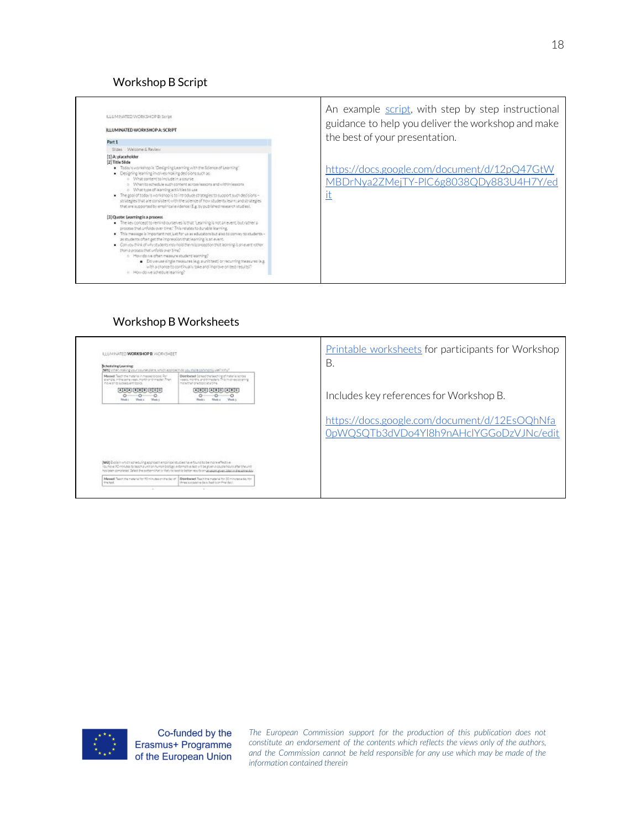## Workshop B Script

<span id="page-18-0"></span>

| 전화에 가지 않아 어린 사이에<br>ELLIMINATED WORKSHOP B: Script<br>ILLUMINATED WORKSHOP A: SCRIPT<br>Part 1<br>Sides Velcome & Review                                                                                                                                                                                                                                                                                                                                                                                                                                                                                                                                                                                                                | An example script, with step by step instructional<br>guidance to help you deliver the workshop and make<br>the best of your presentation. |
|-----------------------------------------------------------------------------------------------------------------------------------------------------------------------------------------------------------------------------------------------------------------------------------------------------------------------------------------------------------------------------------------------------------------------------------------------------------------------------------------------------------------------------------------------------------------------------------------------------------------------------------------------------------------------------------------------------------------------------------------|--------------------------------------------------------------------------------------------------------------------------------------------|
| [1] A: placeholder<br>[2] Title Slide<br>. Today's variation is 'Designing Learning with the Science of Learning'.<br>· Designing learning involves niaking dedilions such as:<br>o What content to include in a course<br>o When to schedule such content across lessons and within lessons.<br>o What type of learning activities to use<br>The goal of today's workshop is to introduce strategies to support such depisions -<br>strategies that are consistent with the science of how students learn; and strategies<br>that are supported by empirical evidence (E.g. by published research studies).                                                                                                                            | https://docs.google.com/document/d/12pQ47GtW<br>MBDrNya2ZMejTY-PIC6g8038QDy883U4H7Y/ed<br><u>it</u>                                        |
| [3] Quote: Learning is a process.<br>. The key concept to remind ourselves is that "Learning is not an event but rather a<br>process that unfolds over time." This relates to durable learning.<br>. This message is important not just for us as educators but also to convey to students -<br>as students often get the impression that learning is an event.<br>. Con you think of why students may hald the misconaption that learning is an event rather<br>than a process that unfolds over time."<br>6 Mondows often measure student learning?<br>Do we use single measures (e.g. a unit test) or recurring measures (e.g.<br>with a chance to continually take and improve on test results!?<br>ii Hou do ne schedule learning? |                                                                                                                                            |

## Workshop B Worksheets

<span id="page-18-1"></span>

| ILLUM NATED WORKSHOP R WORKSHEET<br><b>Beherhaling Learning:</b><br>potensing unaming vs. resume alarm which approach de vou more commonly usef why?                                                                                                                                                                                                                                                                                                                                                                 | Printable worksheets for participants for Workshop<br>B                                  |
|----------------------------------------------------------------------------------------------------------------------------------------------------------------------------------------------------------------------------------------------------------------------------------------------------------------------------------------------------------------------------------------------------------------------------------------------------------------------------------------------------------------------|------------------------------------------------------------------------------------------|
| Massed Fasch the material in massed bloods. For<br>Blackweed Screenity Georging of material screen<br>assingle, in the pains years, month or thinsepts. Then<br>vesels, months, and thirvesters. This involves covering<br>Inc. is an to autosepuent books.<br>mera than one topic still direct<br>[A]A]A][B]6[8][G[G]G]<br>$A = 0$ $C = 1$ $A = 0$ $A = 0$                                                                                                                                                          | Includes key references for Workshop B.<br>https://docs.google.com/document/d/12EsOQhNfa |
| [W2] Biolain which someduling approach empirical studies have found to be more effective<br>flowbow 92 minutes to beck a unit on humors bibliogy A formative stati will be given a couple hours after the unit.<br>Assignment completed. Select the pattern that is Hely to lead to better results on acupain plugs labe in the same day.<br>Mayand Taxis the material for 10 minutes on the day of 1 Deadbared Teach the material for 30 minutes also the<br>three successive days heat learning day).<br>tru tast. | OpWQSQTb3dVDo4Yl8h9nAHclYGGoDzVJNc/edit                                                  |



Co-funded by the Erasmus+ Programme<br>of the European Union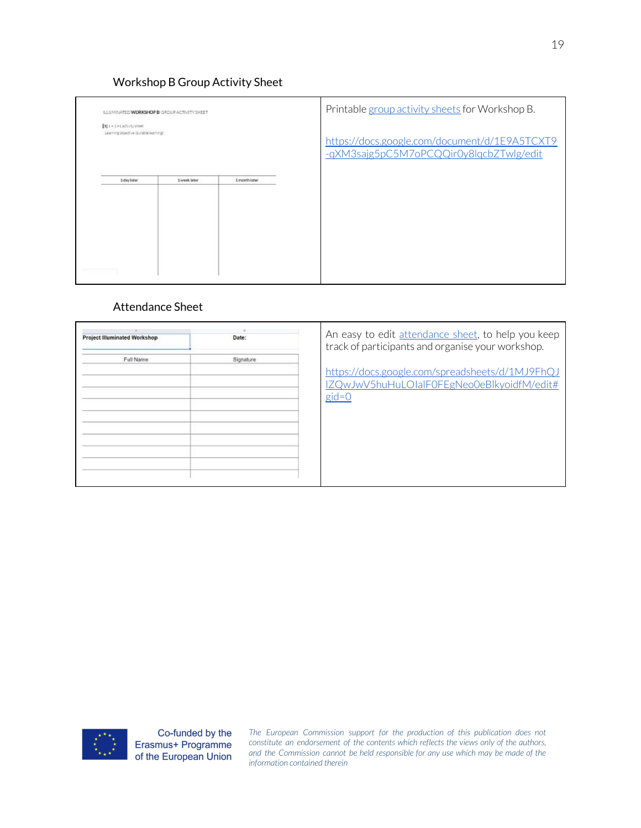## Workshop B Group Activity Sheet

<span id="page-19-0"></span>

| ELEMINATED WORKSHOP & GROUP ACTIVITY SHEET                        |               | Printable group activity sheets for Workshop B.                                          |
|-------------------------------------------------------------------|---------------|------------------------------------------------------------------------------------------|
| [1] 1+1+1activity sheet<br>Learning cojective (durable learning). |               | https://docs.google.com/document/d/1E9A5TCXT9<br>-gXM3sajg5pC5M7oPCQQir0y8lqcbZTwlg/edit |
| <b>S</b> day later<br><b>Sweek later</b>                          | t month later |                                                                                          |
|                                                                   |               |                                                                                          |
|                                                                   |               |                                                                                          |
|                                                                   |               |                                                                                          |

## Attendance Sheet

<span id="page-19-1"></span>

| <b>Project Illuminated Workshop</b> | Date:     | An easy to edit attendance sheet, to help you keep<br>track of participants and organise your workshop. |
|-------------------------------------|-----------|---------------------------------------------------------------------------------------------------------|
| Full Name                           | Signature |                                                                                                         |
|                                     |           | https://docs.google.com/spreadsheets/d/1MJ9FhQJ                                                         |
|                                     |           | IZQwJwV5huHuLOIalF0FEgNeo0eBlkyoidfM/edit#                                                              |
|                                     |           | $\text{gid}=0$                                                                                          |
|                                     |           |                                                                                                         |
|                                     |           |                                                                                                         |
|                                     |           |                                                                                                         |
|                                     |           |                                                                                                         |
|                                     |           |                                                                                                         |
|                                     |           |                                                                                                         |
|                                     |           |                                                                                                         |

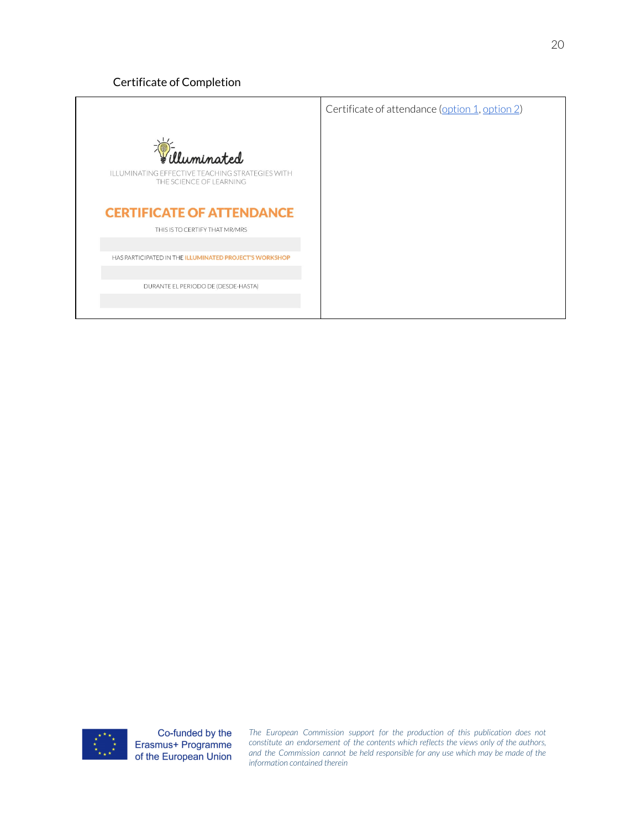Certificate of Completion

<span id="page-20-0"></span>



Co-funded by the Erasmus+ Programme of the European Union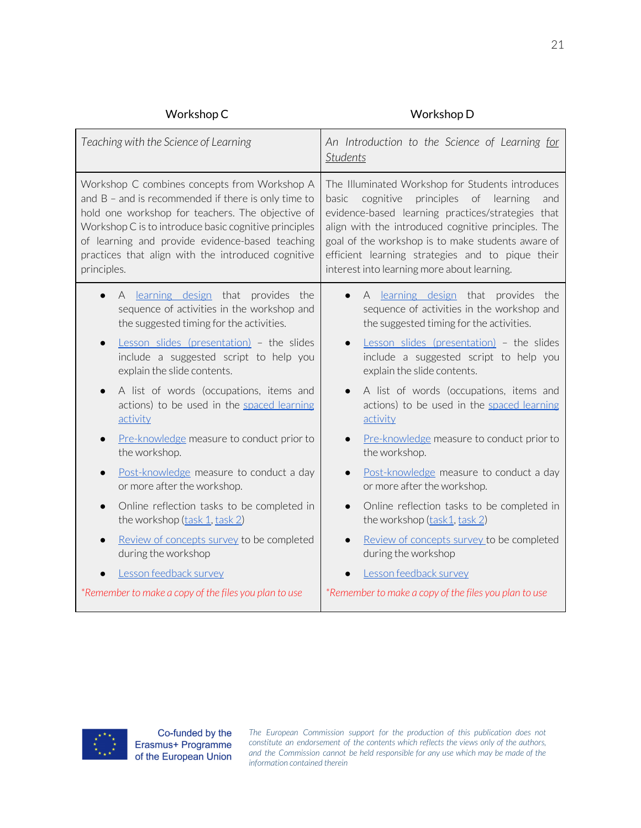<span id="page-21-1"></span><span id="page-21-0"></span>

| Workshop C                                                                                                                                                                                                                                                                                                                                 | Workshop D                                                                                                                                                                                                                                                                                                                                                                     |
|--------------------------------------------------------------------------------------------------------------------------------------------------------------------------------------------------------------------------------------------------------------------------------------------------------------------------------------------|--------------------------------------------------------------------------------------------------------------------------------------------------------------------------------------------------------------------------------------------------------------------------------------------------------------------------------------------------------------------------------|
| Teaching with the Science of Learning                                                                                                                                                                                                                                                                                                      | An Introduction to the Science of Learning for<br><b>Students</b>                                                                                                                                                                                                                                                                                                              |
| Workshop C combines concepts from Workshop A<br>and $B$ - and is recommended if there is only time to<br>hold one workshop for teachers. The objective of<br>Workshop C is to introduce basic cognitive principles<br>of learning and provide evidence-based teaching<br>practices that align with the introduced cognitive<br>principles. | The Illuminated Workshop for Students introduces<br>cognitive<br>principles of<br>basic<br>learning<br>and<br>evidence-based learning practices/strategies that<br>align with the introduced cognitive principles. The<br>goal of the workshop is to make students aware of<br>efficient learning strategies and to pique their<br>interest into learning more about learning. |
| A learning design that provides the                                                                                                                                                                                                                                                                                                        | A learning design that provides the                                                                                                                                                                                                                                                                                                                                            |
| sequence of activities in the workshop and                                                                                                                                                                                                                                                                                                 | sequence of activities in the workshop and                                                                                                                                                                                                                                                                                                                                     |
| the suggested timing for the activities.                                                                                                                                                                                                                                                                                                   | the suggested timing for the activities.                                                                                                                                                                                                                                                                                                                                       |
| Lesson slides (presentation) - the slides                                                                                                                                                                                                                                                                                                  | Lesson slides (presentation) - the slides                                                                                                                                                                                                                                                                                                                                      |
| include a suggested script to help you                                                                                                                                                                                                                                                                                                     | include a suggested script to help you                                                                                                                                                                                                                                                                                                                                         |
| explain the slide contents.                                                                                                                                                                                                                                                                                                                | explain the slide contents.                                                                                                                                                                                                                                                                                                                                                    |
| A list of words (occupations, items and                                                                                                                                                                                                                                                                                                    | A list of words (occupations, items and                                                                                                                                                                                                                                                                                                                                        |
| actions) to be used in the spaced learning                                                                                                                                                                                                                                                                                                 | actions) to be used in the spaced learning                                                                                                                                                                                                                                                                                                                                     |
| activity                                                                                                                                                                                                                                                                                                                                   | activity                                                                                                                                                                                                                                                                                                                                                                       |
| Pre-knowledge measure to conduct prior to                                                                                                                                                                                                                                                                                                  | Pre-knowledge measure to conduct prior to                                                                                                                                                                                                                                                                                                                                      |
| the workshop.                                                                                                                                                                                                                                                                                                                              | the workshop.                                                                                                                                                                                                                                                                                                                                                                  |
| Post-knowledge measure to conduct a day                                                                                                                                                                                                                                                                                                    | Post-knowledge measure to conduct a day                                                                                                                                                                                                                                                                                                                                        |
| or more after the workshop.                                                                                                                                                                                                                                                                                                                | or more after the workshop.                                                                                                                                                                                                                                                                                                                                                    |
| Online reflection tasks to be completed in<br>the workshop (task 1, task 2)                                                                                                                                                                                                                                                                | Online reflection tasks to be completed in<br>$\bullet$<br>the workshop (task1, task 2)                                                                                                                                                                                                                                                                                        |
| Review of concepts survey to be completed                                                                                                                                                                                                                                                                                                  | Review of concepts survey to be completed                                                                                                                                                                                                                                                                                                                                      |
| during the workshop                                                                                                                                                                                                                                                                                                                        | during the workshop                                                                                                                                                                                                                                                                                                                                                            |
| Lesson feedback survey                                                                                                                                                                                                                                                                                                                     | Lesson feedback survey                                                                                                                                                                                                                                                                                                                                                         |
| *Remember to make a copy of the files you plan to use                                                                                                                                                                                                                                                                                      | *Remember to make a copy of the files you plan to use                                                                                                                                                                                                                                                                                                                          |



Co-funded by the<br>Erasmus+ Programme<br>of the European Union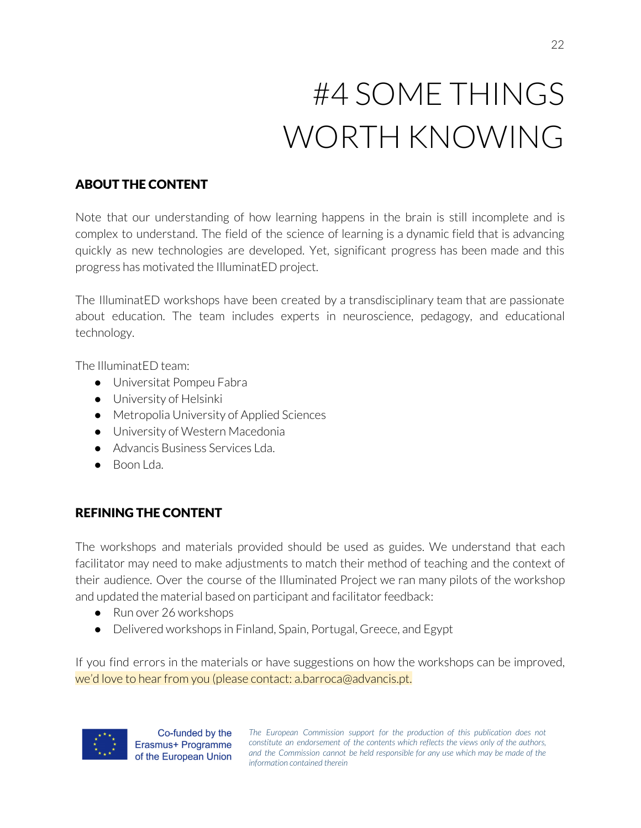# #4 SOME THINGS WORTH KNOWING

# <span id="page-22-1"></span><span id="page-22-0"></span>ABOUT THE CONTENT

Note that our understanding of how learning happens in the brain is still incomplete and is complex to understand. The field of the science of learning is a dynamic field that is advancing quickly as new technologies are developed. Yet, significant progress has been made and this progress has motivated the IlluminatED project.

The IlluminatED workshops have been created by a transdisciplinary team that are passionate about education. The team includes experts in neuroscience, pedagogy, and educational technology.

The IlluminatED team:

- Universitat Pompeu Fabra
- University of Helsinki
- Metropolia University of Applied Sciences
- University of Western Macedonia
- Advancis Business Services Lda.
- Boon Lda.

# <span id="page-22-2"></span>REFINING THE CONTENT

The workshops and materials provided should be used as guides. We understand that each facilitator may need to make adjustments to match their method of teaching and the context of their audience. Over the course of the Illuminated Project we ran many pilots of the workshop and updated the material based on participant and facilitator feedback:

- Run over 26 workshops
- Delivered workshops in Finland, Spain, Portugal, Greece, and Egypt

If you find errors in the materials or have suggestions on how the workshops can be improved, we'd love to hear from you (please contact: a.barroca@advancis.pt.



Co-funded by the Erasmus+ Programme of the European Union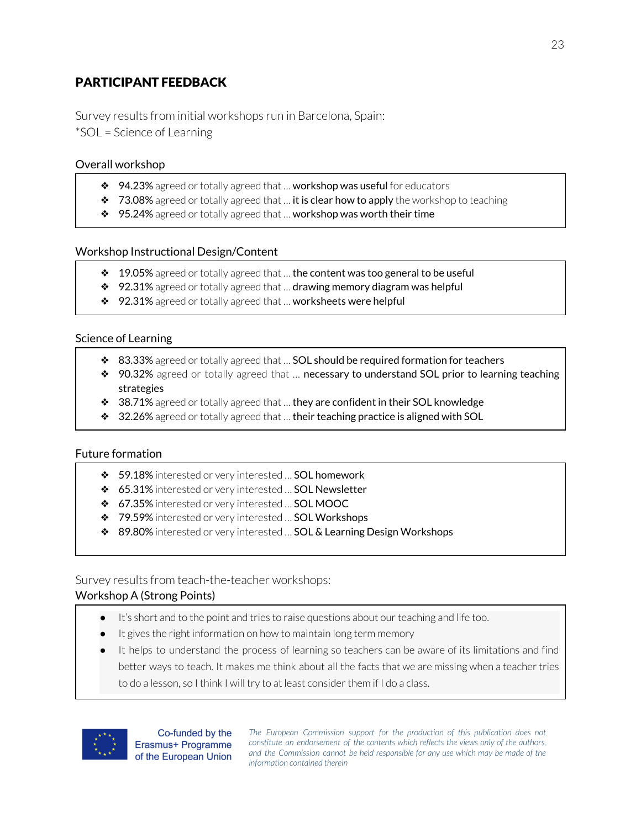## <span id="page-23-0"></span>PARTICIPANT FEEDBACK

Survey results from initial workshops run in Barcelona, Spain: \*SOL = Science of Learning

#### <span id="page-23-1"></span>Overall workshop

- ◆ 94.23% agreed or totally agreed that ... workshop was useful for educators
- ◆ 73.08% agreed or totally agreed that ... it is clear how to apply the workshop to teaching
- $\div$  95.24% agreed or totally agreed that ... workshop was worth their time

#### <span id="page-23-2"></span>Workshop Instructional Design/Content

- $\cdot$  19.05% agreed or totally agreed that ... the content was too general to be useful
- ◆ 92.31% agreed or totally agreed that ... drawing memory diagram was helpful
- ◆ 92.31% agreed or totally agreed that ... worksheets were helpful

#### <span id="page-23-3"></span>Science of Learning

- $\triangle$  83.33% agreed or totally agreed that ... SOL should be required formation for teachers
- ❖ 90.32% agreed or totally agreed that … necessary to understand SOL prior to learning teaching strategies
- ◆ 38.71% agreed or totally agreed that ... they are confident in their SOL knowledge
- $\bullet$  32.26% agreed or totally agreed that  $\dots$  their teaching practice is aligned with SOL

#### <span id="page-23-4"></span>Future formation

- ❖ 59.18% interested or very interested … SOL homework
- ❖ 65.31% interested or very interested … SOL Newsletter
- ❖ 67.35% interested or very interested … SOL MOOC
- ❖ 79.59% interested or very interested … SOL Workshops
- ❖ 89.80% interested or very interested … SOL & Learning Design Workshops

#### Survey results from teach-the-teacher workshops:

#### <span id="page-23-5"></span>Workshop A (Strong Points)

- It's short and to the point and tries to raise questions about ourteaching and life too.
- It gives the right information on how to maintain long term memory
- It helps to understand the process of learning so teachers can be aware of its limitations and find better ways to teach. It makes me think about all the facts that we are missing when a teacher tries to do a lesson, so I think I will try to at least consider them if I do a class.



Co-funded by the Erasmus+ Programme of the European Union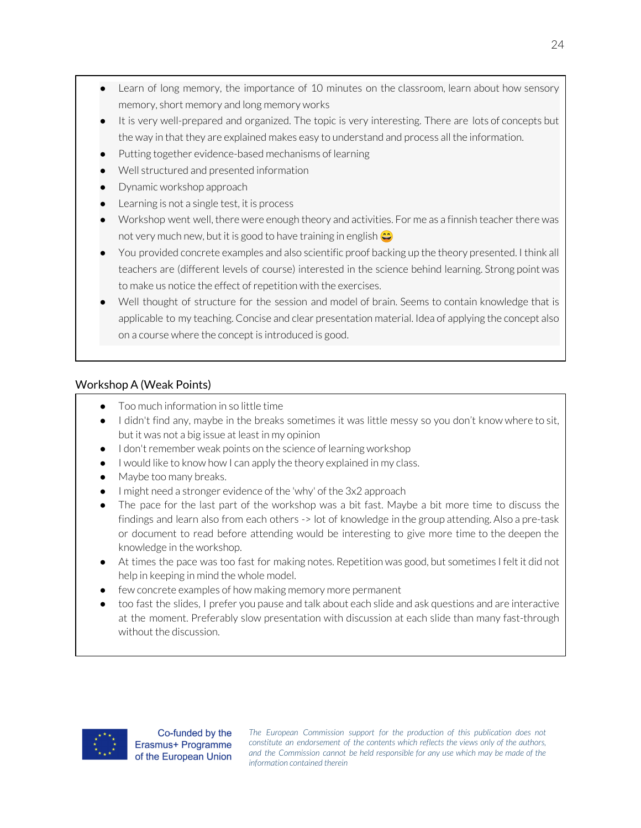- Learn of long memory, the importance of 10 minutes on the classroom, learn about how sensory memory, short memory and long memory works
- It is very well-prepared and organized. The topic is very interesting. There are lots of concepts but the way in that they are explained makes easy to understand and process all the information.
- Putting together evidence-based mechanisms of learning
- Well structured and presented information
- Dynamic workshop approach
- Learning is not a single test, it is process
- Workshop went well, there were enough theory and activities. For me as a finnish teacher there was not very much new, but it is good to have training in english
- You provided concrete examples and also scientific proof backing up the theory presented. I think all teachers are (different levels of course) interested in the science behind learning. Strong point was to make us notice the effect of repetition with the exercises.
- Well thought of structure for the session and model of brain. Seems to contain knowledge that is applicable to my teaching. Concise and clear presentation material. Idea of applying the concept also on a course where the concept is introduced is good.

## <span id="page-24-0"></span>Workshop A (Weak Points)

- Too much information in so little time
- I didn't find any, maybe in the breaks sometimes it was little messy so you don't know where to sit, but it was not a big issue at least in my opinion
- I don't remember weak points on the science of learning workshop
- I would like to know how I can apply the theory explained in my class.
- Maybe too many breaks.
- I might need a stronger evidence of the 'why' of the 3x2 approach
- The pace for the last part of the workshop was a bit fast. Maybe a bit more time to discuss the findings and learn also from each others -> lot of knowledge in the group attending. Also a pre-task or document to read before attending would be interesting to give more time to the deepen the knowledge in the workshop.
- At times the pace was too fast for making notes. Repetition was good, but sometimes I felt it did not help in keeping in mind the whole model.
- few concrete examples of how making memory more permanent
- too fast the slides, I prefer you pause and talk about each slide and ask questions and are interactive at the moment. Preferably slow presentation with discussion at each slide than many fast-through without the discussion.



Co-funded by the Erasmus+ Programme of the European Union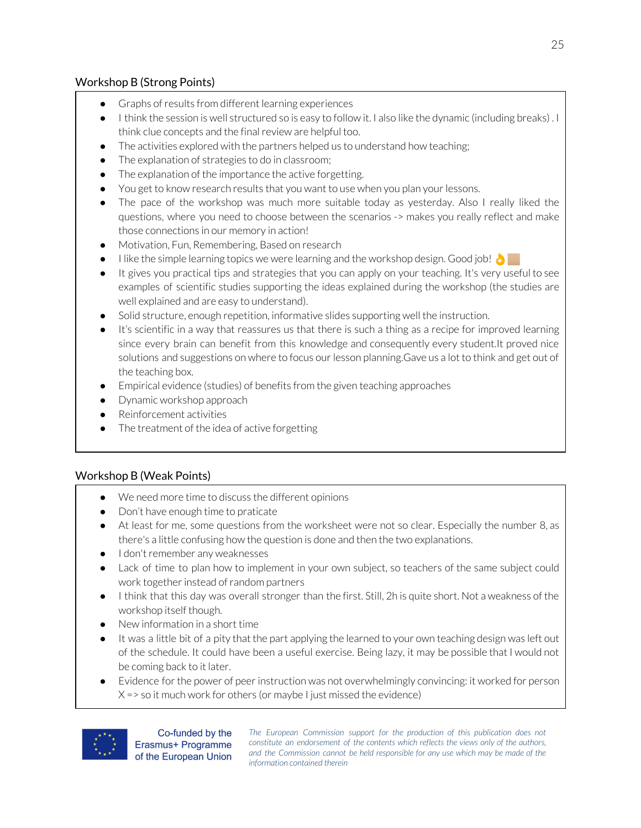## <span id="page-25-0"></span>Workshop B (Strong Points)

- Graphs of results from different learning experiences
- I think the session is well structured so is easy to follow it. I also like the dynamic (including breaks) . I think clue concepts and the final review are helpful too.
- The activities explored with the partners helped us to understand how teaching;
- The explanation of strategies to do in classroom;
- The explanation of the importance the active forgetting.
- You get to know research results that you want to use when you plan your lessons.
- The pace of the workshop was much more suitable today as yesterday. Also I really liked the questions, where you need to choose between the scenarios -> makes you really reflect and make those connections in our memory in action!
- Motivation, Fun, Remembering, Based on research
- I like the simple learning topics we were learning and the workshop design. Good job!  $\bigcirc$
- It gives you practical tips and strategies that you can apply on your teaching. It's very useful to see examples of scientific studies supporting the ideas explained during the workshop (the studies are well explained and are easy to understand).
- Solid structure, enough repetition, informative slides supporting well the instruction.
- It's scientific in a way that reassures us that there is such a thing as a recipe for improved learning since every brain can benefit from this knowledge and consequently every student.It proved nice solutions and suggestions on where to focus our lesson planning.Gave us a lot to think and get out of the teaching box.
- Empirical evidence (studies) of benefits from the given teaching approaches
- Dynamic workshop approach
- Reinforcement activities
- The treatment of the idea of active forgetting

## <span id="page-25-1"></span>Workshop B (Weak Points)

- We need more time to discuss the different opinions
- Don't have enough time to praticate
- At least for me, some questions from the worksheet were not so clear. Especially the number 8, as there's a little confusing how the question is done and then the two explanations.
- I don't remember any weaknesses
- Lack of time to plan how to implement in your own subject, so teachers of the same subject could work together instead of random partners
- I think that this day was overall stronger than the first. Still, 2h is quite short. Not a weakness of the workshop itself though.
- New information in a short time
- It was a little bit of a pity that the part applying the learned to your own teaching design was left out of the schedule. It could have been a useful exercise. Being lazy, it may be possible that I would not be coming back to it later.
- Evidence for the power of peer instruction was not overwhelmingly convincing: it worked for person  $X = >$  so it much work for others (or maybe I just missed the evidence)



Co-funded by the Erasmus+ Programme of the European Union